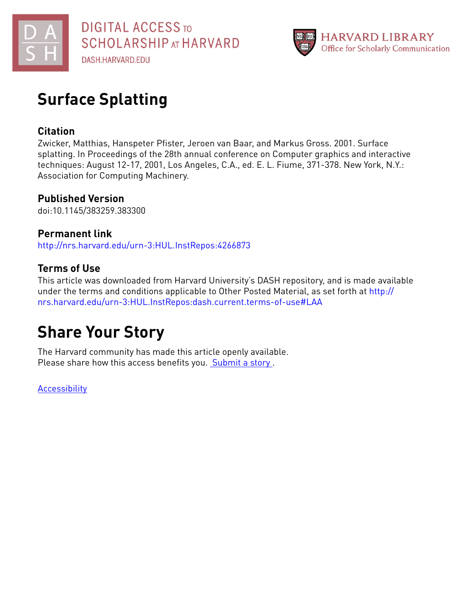

# **Surface Splatting**

# **Citation**

Zwicker, Matthias, Hanspeter Pfister, Jeroen van Baar, and Markus Gross. 2001. Surface splatting. In Proceedings of the 28th annual conference on Computer graphics and interactive techniques: August 12-17, 2001, Los Angeles, C.A., ed. E. L. Fiume, 371-378. New York, N.Y.: Association for Computing Machinery.

# **Published Version**

doi:10.1145/383259.383300

# **Permanent link**

<http://nrs.harvard.edu/urn-3:HUL.InstRepos:4266873>

# **Terms of Use**

This article was downloaded from Harvard University's DASH repository, and is made available under the terms and conditions applicable to Other Posted Material, as set forth at [http://](http://nrs.harvard.edu/urn-3:HUL.InstRepos:dash.current.terms-of-use#LAA) [nrs.harvard.edu/urn-3:HUL.InstRepos:dash.current.terms-of-use#LAA](http://nrs.harvard.edu/urn-3:HUL.InstRepos:dash.current.terms-of-use#LAA)

# **Share Your Story**

The Harvard community has made this article openly available. Please share how this access benefits you. [Submit](http://osc.hul.harvard.edu/dash/open-access-feedback?handle=&title=Surface%20Splatting&community=1/1&collection=1/2&owningCollection1/2&harvardAuthors=cf597e51b1c3caf243cfc56025d611be&departmentEngineering%20and%20Applied%20Sciences) a story .

**[Accessibility](https://dash.harvard.edu/pages/accessibility)**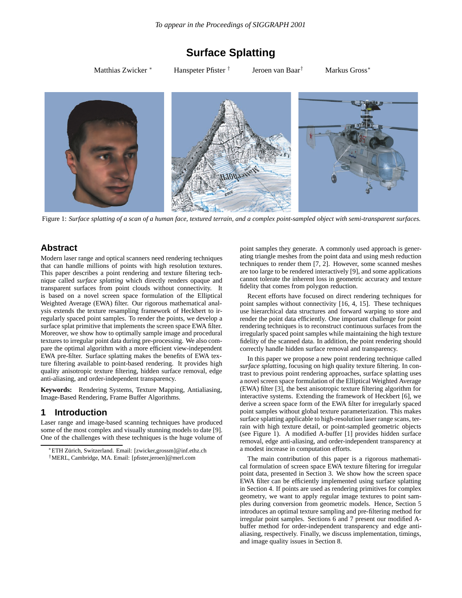# **Surface Splatting**

Matthias Zwicker ∗ Hanspeter Pfister † Jeroen van Baar† Markus Gross∗



Figure 1: *Surface splatting of a scan of a human face, textured terrain, and a complex point-sampled object with semi-transparent surfaces.*

# **Abstract**

Modern laser range and optical scanners need rendering techniques that can handle millions of points with high resolution textures. This paper describes a point rendering and texture filtering technique called *surface splatting* which directly renders opaque and transparent surfaces from point clouds without connectivity. It is based on a novel screen space formulation of the Elliptical Weighted Average (EWA) filter. Our rigorous mathematical analysis extends the texture resampling framework of Heckbert to irregularly spaced point samples. To render the points, we develop a surface splat primitive that implements the screen space EWA filter. Moreover, we show how to optimally sample image and procedural textures to irregular point data during pre-processing. We also compare the optimal algorithm with a more efficient view-independent EWA pre-filter. Surface splatting makes the benefits of EWA texture filtering available to point-based rendering. It provides high quality anisotropic texture filtering, hidden surface removal, edge anti-aliasing, and order-independent transparency.

**Keywords:** Rendering Systems, Texture Mapping, Antialiasing, Image-Based Rendering, Frame Buffer Algorithms.

## **1 Introduction**

Laser range and image-based scanning techniques have produced some of the most complex and visually stunning models to date [9]. One of the challenges with these techniques is the huge volume of point samples they generate. A commonly used approach is generating triangle meshes from the point data and using mesh reduction techniques to render them [7, 2]. However, some scanned meshes are too large to be rendered interactively [9], and some applications cannot tolerate the inherent loss in geometric accuracy and texture fidelity that comes from polygon reduction.

Recent efforts have focused on direct rendering techniques for point samples without connectivity [16, 4, 15]. These techniques use hierarchical data structures and forward warping to store and render the point data efficiently. One important challenge for point rendering techniques is to reconstruct continuous surfaces from the irregularly spaced point samples while maintaining the high texture fidelity of the scanned data. In addition, the point rendering should correctly handle hidden surface removal and transparency.

In this paper we propose a new point rendering technique called *surface splatting*, focusing on high quality texture filtering. In contrast to previous point rendering approaches, surface splatting uses a novel screen space formulation of the Elliptical Weighted Average (EWA) filter [3], the best anisotropic texture filtering algorithm for interactive systems. Extending the framework of Heckbert [6], we derive a screen space form of the EWA filter for irregularly spaced point samples without global texture parameterization. This makes surface splatting applicable to high-resolution laser range scans, terrain with high texture detail, or point-sampled geometric objects (see Figure 1). A modified A-buffer [1] provides hidden surface removal, edge anti-aliasing, and order-independent transparency at a modest increase in computation efforts.

The main contribution of this paper is a rigorous mathematical formulation of screen space EWA texture filtering for irregular point data, presented in Section 3. We show how the screen space EWA filter can be efficiently implemented using surface splatting in Section 4. If points are used as rendering primitives for complex geometry, we want to apply regular image textures to point samples during conversion from geometric models. Hence, Section 5 introduces an optimal texture sampling and pre-filtering method for irregular point samples. Sections 6 and 7 present our modified Abuffer method for order-independent transparency and edge antialiasing, respectively. Finally, we discuss implementation, timings, and image quality issues in Section 8.

<sup>∗</sup>ETH Z¨urich, Switzerland. Email: [zwicker,grossm]@inf.ethz.ch †MERL, Cambridge, MA. Email: [pfister,jeroen]@merl.com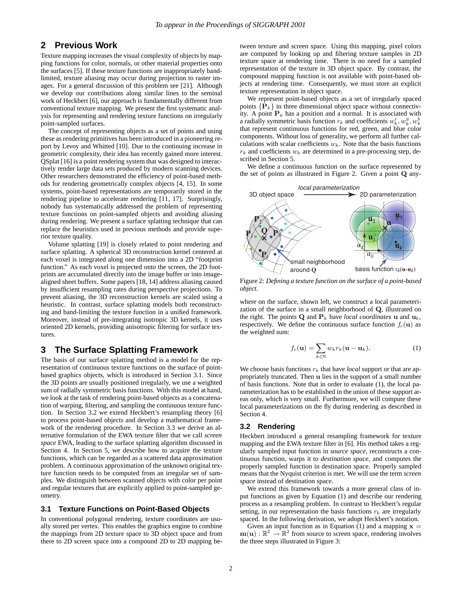## **2 Previous Work**

Texture mapping increases the visual complexity of objects by mapping functions for color, normals, or other material properties onto the surfaces [5]. If these texture functions are inappropriately bandlimited, texture aliasing may occur during projection to raster images. For a general discussion of this problem see [21]. Although we develop our contributions along similar lines to the seminal work of Heckbert [6], our approach is fundamentally different from conventional texture mapping. We present the first systematic analysis for representing and rendering texture functions on irregularly point-sampled surfaces.

The concept of representing objects as a set of points and using these as rendering primitives has been introduced in a pioneering report by Levoy and Whitted [10]. Due to the continuing increase in geometric complexity, their idea has recently gained more interest. QSplat [16] is a point rendering system that was designed to interactively render large data sets produced by modern scanning devices. Other researchers demonstrated the efficiency of point-based methods for rendering geometrically complex objects [4, 15]. In some systems, point-based representations are temporarily stored in the rendering pipeline to accelerate rendering [11, 17]. Surprisingly, nobody has systematically addressed the problem of representing texture functions on point-sampled objects and avoiding aliasing during rendering. We present a surface splatting technique that can replace the heuristics used in previous methods and provide superior texture quality.

Volume splatting [19] is closely related to point rendering and surface splatting. A spherical 3D reconstruction kernel centered at each voxel is integrated along one dimension into a 2D "footprint function." As each voxel is projected onto the screen, the 2D footprints are accumulated directly into the image buffer or into imagealigned sheet buffers. Some papers [18, 14] address aliasing caused by insufficient resampling rates during perspective projections. To prevent aliasing, the 3D reconstruction kernels are scaled using a heuristic. In contrast, surface splatting models both reconstructing and band-limiting the texture function in a unified framework. Moreover, instead of pre-integrating isotropic 3D kernels, it uses oriented 2D kernels, providing anisotropic filtering for surface textures.

#### **3 The Surface Splatting Framework**

The basis of our surface splatting method is a model for the representation of continuous texture functions on the surface of pointbased graphics objects, which is introduced in Section 3.1. Since the 3D points are usually positioned irregularly, we use a weighted sum of radially symmetric basis functions. With this model at hand, we look at the task of rendering point-based objects as a concatenation of warping, filtering, and sampling the continuous texture function. In Section 3.2 we extend Heckbert's resampling theory [6] to process point-based objects and develop a mathematical framework of the rendering procedure. In Section 3.3 we derive an alternative formulation of the EWA texture filter that we call *screen space* EWA, leading to the surface splatting algorithm discussed in Section 4. In Section 5, we describe how to acquire the texture functions, which can be regarded as a scattered data approximation problem. A continuous approximation of the unknown original texture function needs to be computed from an irregular set of samples. We distinguish between scanned objects with color per point and regular textures that are explicitly applied to point-sampled geometry.

#### **3.1 Texture Functions on Point-Based Objects**

In conventional polygonal rendering, texture coordinates are usually stored per vertex. This enables the graphics engine to combine the mappings from 2D texture space to 3D object space and from there to 2D screen space into a compound 2D to 2D mapping between texture and screen space. Using this mapping, pixel colors are computed by looking up and filtering texture samples in 2D texture space at rendering time. There is no need for a sampled representation of the texture in 3D object space. By contrast, the compound mapping function is not available with point-based objects at rendering time. Consequently, we must store an explicit texture representation in object space.

We represent point-based objects as a set of irregularly spaced points  $\{P_k\}$  in three dimensional object space without connectivity. A point  $P_k$  has a position and a normal. It is associated with a radially symmetric basis function  $r_k$  and coefficients  $w_k^r, w_k^g, w_k^b$ <br>that represent continuous functions for red, green, and blue color that represent continuous functions for red, green, and blue color components. Without loss of generality, we perform all further calculations with scalar coefficients  $w_k$ . Note that the basis functions  $r_k$  and coefficients  $w_k$  are determined in a pre-processing step, described in Section 5.

We define a continuous function on the surface represented by the set of points as illustrated in Figure 2. Given a point **Q** any-



Figure 2: *Defining a texture function on the surface of a point-based object.*

where on the surface, shown left, we construct a local parameterization of the surface in a small neighborhood of **Q**, illustrated on the right. The points **Q** and  $P_k$  have *local coordinates* **u** and  $\mathbf{u}_k$ , respectively. We define the continuous surface function  $f_c(\mathbf{u})$  as the weighted sum:

$$
f_c(\mathbf{u}) = \sum_{k \in \mathbb{N}} w_k r_k(\mathbf{u} - \mathbf{u}_k).
$$
 (1)

We choose basis functions  $r_k$  that have *local* support or that are appropriately truncated. Then **u** lies in the support of a small number of basis functions. Note that in order to evaluate (1), the local parameterization has to be established in the union of these support areas only, which is very small. Furthermore, we will compute these local parameterizations on the fly during rendering as described in Section 4.

#### **3.2 Rendering**

Heckbert introduced a general resampling framework for texture mapping and the EWA texture filter in [6]. His method takes a regularly sampled input function in *source space*, reconstructs a continuous function, warps it to *destination space*, and computes the properly sampled function in destination space. Properly sampled means that the Nyquist criterion is met. We will use the term *screen space* instead of destination space.

We extend this framework towards a more general class of input functions as given by Equation (1) and describe our rendering process as a resampling problem. In contrast to Heckbert's regular setting, in our representation the basis functions  $r_k$  are irregularly spaced. In the following derivation, we adopt Heckbert's notation.

Given an input function as in Equation (1) and a mapping  $x =$  $m(\mathbf{u}) : \mathbb{R}^2 \to \mathbb{R}^2$  from source to screen space, rendering involves the three steps illustrated in Figure 3: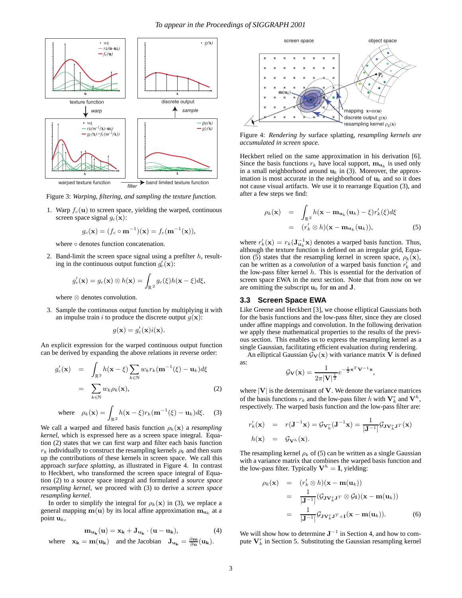

Figure 3: *Warping, filtering, and sampling the texture function.*

1. Warp  $f_c(\mathbf{u})$  to screen space, yielding the warped, continuous screen space signal  $g_c(\mathbf{x})$ :

$$
g_c(\mathbf{x}) = (f_c \circ \mathbf{m}^{-1})(\mathbf{x}) = f_c(\mathbf{m}^{-1}(\mathbf{x})),
$$

where ∘ denotes function concatenation.

2. Band-limit the screen space signal using a prefilter  $h$ , resulting in the continuous output function  $g'_c(\mathbf{x})$ :

$$
g_c'(\mathbf{x}) = g_c(\mathbf{x}) \otimes h(\mathbf{x}) = \int_{\mathbb{R}^2} g_c(\xi) h(\mathbf{x} - \xi) d\xi,
$$

where ⊗ denotes convolution.

3. Sample the continuous output function by multiplying it with an impulse train i to produce the discrete output  $g(\mathbf{x})$ :

$$
g(\mathbf{x}) = g_c'(\mathbf{x})i(\mathbf{x}).
$$

An explicit expression for the warped continuous output function can be derived by expanding the above relations in reverse order:

$$
g_c'(\mathbf{x}) = \int_{\mathbb{R}^2} h(\mathbf{x} - \xi) \sum_{k \in \mathbb{N}} w_k r_k(\mathbf{m}^{-1}(\xi) - \mathbf{u}_k) d\xi
$$
  
= 
$$
\sum_{k \in \mathbb{N}} w_k \rho_k(\mathbf{x}),
$$
 (2)

where 
$$
\rho_k(\mathbf{x}) = \int_{\mathbb{R}^2} h(\mathbf{x} - \xi) r_k(\mathbf{m}^{-1}(\xi) - \mathbf{u}_k) d\xi.
$$
 (3)

We call a warped and filtered basis function  $\rho_k(\mathbf{x})$  a *resampling kernel*, which is expressed here as a screen space integral. Equation (2) states that we can first warp and filter each basis function  $r_k$  individually to construct the resampling kernels  $\rho_k$  and then sum up the contributions of these kernels in screen space. We call this approach *surface splatting*, as illustrated in Figure 4. In contrast to Heckbert, who transformed the screen space integral of Equation (2) to a source space integral and formulated a *source space resampling kernel*, we proceed with (3) to derive a *screen space resampling kernel*.

In order to simplify the integral for  $\rho_k(\mathbf{x})$  in (3), we replace a general mapping  $\mathbf{m}(\mathbf{u})$  by its local affine approximation  $\mathbf{m}_{\mathbf{u}_k}$  at a point  $\mathbf{u}_k$ ,

$$
\mathbf{m}_{\mathbf{u}_{\mathbf{k}}}(\mathbf{u}) = \mathbf{x}_{\mathbf{k}} + \mathbf{J}_{\mathbf{u}_{\mathbf{k}}} \cdot (\mathbf{u} - \mathbf{u}_{\mathbf{k}}),
$$
 (4)  
where  $\mathbf{x}_{\mathbf{k}} = \mathbf{m}(\mathbf{u}_{\mathbf{k}})$  and the Jacobian  $\mathbf{J}_{\mathbf{u}_{\mathbf{k}}} = \frac{\partial \mathbf{m}}{\partial \mathbf{u}}(\mathbf{u}_{\mathbf{k}}).$ 



Figure 4: *Rendering by* surface splatting*, resampling kernels are accumulated in screen space.*

Heckbert relied on the same approximation in his derivation [6]. Since the basis functions  $r_k$  have local support,  $m_{\mathbf{u}_k}$  is used only in a small neighborhood around  $\mathbf{u}_k$  in (3). Moreover, the approximation is most accurate in the neighborhood of  $\mathbf{u}_k$  and so it does not cause visual artifacts. We use it to rearrange Equation (3), and after a few steps we find:

$$
\rho_k(\mathbf{x}) = \int_{\mathbb{R}^2} h(\mathbf{x} - \mathbf{m}_{\mathbf{u}_k}(\mathbf{u}_k) - \xi) r'_k(\xi) d\xi
$$
  
=  $(r'_k \otimes h)(\mathbf{x} - \mathbf{m}_{\mathbf{u}_k}(\mathbf{u}_k)),$  (5)

where  $r'_k(\mathbf{x}) = r_k(\mathbf{J}_{\mathbf{u}_k}^{-1}\mathbf{x})$  denotes a warped basis function. Thus, although the texture function is defined on an irreqular grid. Fouralthough the texture function is defined on an irregular grid, Equation (5) states that the resampling kernel in screen space,  $\rho_k(\mathbf{x})$ , can be written as a *convolution* of a warped basis function  $r'_k$  and the low-pass filter kernal *h*. This is essential for the derivation of the low-pass filter kernel  $h$ . This is essential for the derivation of screen space EWA in the next section. Note that from now on we are omitting the subscript  $\mathbf{u}_k$  for **m** and **J**.

#### **3.3 Screen Space EWA**

Like Greene and Heckbert [3], we choose elliptical Gaussians both for the basis functions and the low-pass filter, since they are closed under affine mappings and convolution. In the following derivation we apply these mathematical properties to the results of the previous section. This enables us to express the resampling kernel as a single Gaussian, facilitating efficient evaluation during rendering.

An elliptical Gaussian  $\mathcal{G}_{\mathbf{V}}(\mathbf{x})$  with variance matrix **V** is defined as:

$$
\mathcal{G}_{\mathbf{V}}(\mathbf{x}) = \frac{1}{2\pi |\mathbf{V}|^{\frac{1}{2}}} e^{-\frac{1}{2}\mathbf{x}^T \mathbf{V}^{-1} \mathbf{x}},
$$

where  $|V|$  is the determinant of  $V$ . We denote the variance matrices of the basis functions  $r_k$  and the low-pass filter h with  $V_k^r$  and  $V^h$ , respectively. The warped basis function and the low-pass filter are: respectively. The warped basis function and the low-pass filter are:

$$
r'_{k}(\mathbf{x}) = r(\mathbf{J}^{-1}\mathbf{x}) = \mathcal{G}_{\mathbf{V}_{k}^{r}}(\mathbf{J}^{-1}\mathbf{x}) = \frac{1}{|\mathbf{J}^{-1}|} \mathcal{G}_{\mathbf{J}\mathbf{V}_{k}^{r}\mathbf{J}^{T}}(\mathbf{x})
$$
  

$$
h(\mathbf{x}) = \mathcal{G}_{\mathbf{V}^{h}}(\mathbf{x}).
$$

The resampling kernel  $\rho_k$  of (5) can be written as a single Gaussian with a variance matrix that combines the warped basis function and the low-pass filter. Typically  $V^h = I$ , yielding:

$$
\rho_k(\mathbf{x}) = (r'_k \otimes h)(\mathbf{x} - \mathbf{m}(\mathbf{u}_k))
$$
  
= 
$$
\frac{1}{|\mathbf{J}^{-1}|} (\mathcal{G}_{\mathbf{J} \mathbf{V}_k^T \mathbf{J}^T} \otimes \mathcal{G}_{\mathbf{I}})(\mathbf{x} - \mathbf{m}(\mathbf{u}_k))
$$
  
= 
$$
\frac{1}{|\mathbf{J}^{-1}|} \mathcal{G}_{\mathbf{J} \mathbf{V}_k^T \mathbf{J}^T + \mathbf{I}}(\mathbf{x} - \mathbf{m}(\mathbf{u}_k)).
$$
 (6)

We will show how to determine  $J^{-1}$  in Section 4, and how to compute  $V_k^r$  in Section 5. Substituting the Gaussian resampling kernel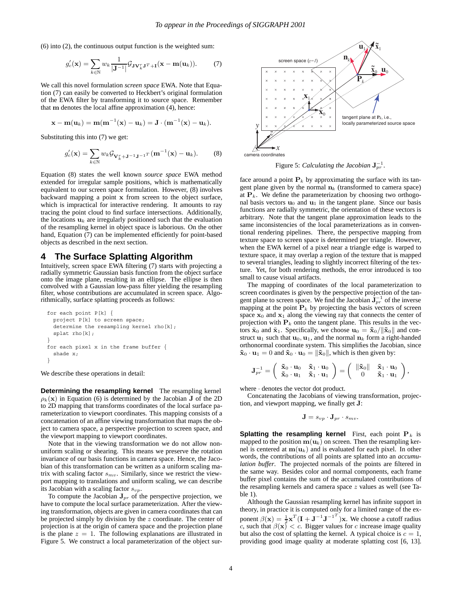(6) into (2), the continuous output function is the weighted sum:

$$
g_c'(\mathbf{x}) = \sum_{k \in \mathbb{N}} w_k \frac{1}{|\mathbf{J}^{-1}|} \mathcal{G}_{\mathbf{J} \mathbf{V}_k^r \mathbf{J}^T + \mathbf{I}}(\mathbf{x} - \mathbf{m}(\mathbf{u}_k)).
$$
 (7)

We call this novel formulation *screen space* EWA. Note that Equation (7) can easily be converted to Heckbert's original formulation of the EWA filter by transforming it to source space. Remember that **m** denotes the local affine approximation (4), hence:

$$
\mathbf{x} - \mathbf{m}(\mathbf{u}_k) = \mathbf{m}(\mathbf{m}^{-1}(\mathbf{x}) - \mathbf{u}_k) = \mathbf{J} \cdot (\mathbf{m}^{-1}(\mathbf{x}) - \mathbf{u}_k).
$$

Substituting this into (7) we get:

$$
g_c'(\mathbf{x}) = \sum_{k \in \mathbb{N}} w_k \mathcal{G}_{\mathbf{V}_k^r + \mathbf{J}^{-1} \mathbf{J}^{-1}} \mathbf{T} \left( \mathbf{m}^{-1}(\mathbf{x}) - \mathbf{u}_k \right).
$$
 (8)

Equation (8) states the well known *source space* EWA method extended for irregular sample positions, which is mathematically equivalent to our screen space formulation. However, (8) involves backward mapping a point **x** from screen to the object surface, which is impractical for interactive rendering. It amounts to ray tracing the point cloud to find surface intersections. Additionally, the locations  $\mathbf{u}_k$  are irregularly positioned such that the evaluation of the resampling kernel in object space is laborious. On the other hand, Equation (7) can be implemented efficiently for point-based objects as described in the next section.

## **4 The Surface Splatting Algorithm**

Intuitively, screen space EWA filtering (7) starts with projecting a radially symmetric Gaussian basis function from the object surface onto the image plane, resulting in an ellipse. The ellipse is then convolved with a Gaussian low-pass filter yielding the resampling filter, whose contributions are accumulated in screen space. Algorithmically, surface splatting proceeds as follows:

```
for each point P[k] {
 project P[k] to screen space;
  determine the resampling kernel rho[k];
  splat rho[k];
}
for each pixel x in the frame buffer {
  shade x;
}
```
We describe these operations in detail:

**Determining the resampling kernel** The resampling kernel  $\rho_k(\mathbf{x})$  in Equation (6) is determined by the Jacobian **J** of the 2D to 2D mapping that transforms coordinates of the local surface parameterization to viewport coordinates. This mapping consists of a concatenation of an affine viewing transformation that maps the object to camera space, a perspective projection to screen space, and the viewport mapping to viewport coordinates.

Note that in the viewing transformation we do not allow nonuniform scaling or shearing. This means we preserve the rotation invariance of our basis functions in camera space. Hence, the Jacobian of this transformation can be written as a uniform scaling matrix with scaling factor  $s_{mv}$ . Similarly, since we restrict the viewport mapping to translations and uniform scaling, we can describe its Jacobian with a scaling factor  $s_{vp}$ .

To compute the Jacobian  $J_{pr}$  of the perspective projection, we have to compute the local surface parameterization. After the viewing transformation, objects are given in camera coordinates that can be projected simply by division by the z coordinate. The center of projection is at the origin of camera space and the projection plane is the plane  $z = 1$ . The following explanations are illustrated in Figure 5. We construct a local parameterization of the object sur-



Figure 5: *Calculating the Jacobian*  $\mathbf{J}_{pr}^{-1}$ .

face around a point  $P_k$  by approximating the surface with its tangent plane given by the normal  $n_k$  (transformed to camera space) at  $P_k$ . We define the parameterization by choosing two orthogonal basis vectors  $\mathbf{u}_0$  and  $\mathbf{u}_1$  in the tangent plane. Since our basis functions are radially symmetric, the orientation of these vectors is arbitrary. Note that the tangent plane approximation leads to the same inconsistencies of the local parameterizations as in conventional rendering pipelines. There, the perspective mapping from texture space to screen space is determined per triangle. However, when the EWA kernel of a pixel near a triangle edge is warped to texture space, it may overlap a region of the texture that is mapped to several triangles, leading to slightly incorrect filtering of the texture. Yet, for both rendering methods, the error introduced is too small to cause visual artifacts.

The mapping of coordinates of the local parameterization to screen coordinates is given by the perspective projection of the tangent plane to screen space. We find the Jacobian  $J_{pr}^{-1}$  of the inverse mapping at the point  $P_k$  by projecting the basis vectors of screen space  $x_0$  and  $x_1$  along the viewing ray that connects the center of projection with  $P_k$  onto the tangent plane. This results in the vectors  $\tilde{\mathbf{x}}_0$  and  $\tilde{\mathbf{x}}_1$ . Specifically, we choose  $\mathbf{u}_0 = \tilde{\mathbf{x}}_0 / ||\tilde{\mathbf{x}}_0||$  and construct  $\mathbf{u}_1$  such that  $\mathbf{u}_0$ ,  $\mathbf{u}_1$ , and the normal  $\mathbf{n}_k$  form a right-handed orthonormal coordinate system. This simplifies the Jacobian, since  $\tilde{\mathbf{x}}_0 \cdot \mathbf{u}_1 = 0$  and  $\tilde{\mathbf{x}}_0 \cdot \mathbf{u}_0 = \|\tilde{\mathbf{x}}_0\|$ , which is then given by:

$$
\mathbf{J}_{pr}^{-1} = \left( \begin{array}{cc} \mathbf{\tilde{x}}_0 \cdot \mathbf{u}_0 & \mathbf{\tilde{x}}_1 \cdot \mathbf{u}_0 \\ \mathbf{\tilde{x}}_0 \cdot \mathbf{u}_1 & \mathbf{\tilde{x}}_1 \cdot \mathbf{u}_1 \end{array} \right) = \left( \begin{array}{cc} \| \mathbf{\tilde{x}}_0 \| & \mathbf{\tilde{x}}_1 \cdot \mathbf{u}_0 \\ 0 & \mathbf{\tilde{x}}_1 \cdot \mathbf{u}_1 \end{array} \right),
$$

,

where · denotes the vector dot product.

Concatenating the Jacobians of viewing transformation, projection, and viewport mapping, we finally get **J**:

$$
\mathbf{J}=s_{vp}\cdot\mathbf{J}_{pr}\cdot s_{mv}.
$$

**Splatting the resampling kernel** First, each point  $P_k$  is mapped to the position  $\mathbf{m}(\mathbf{u}_k)$  on screen. Then the resampling kernel is centered at  $m(\mathbf{u}_k)$  and is evaluated for each pixel. In other words, the contributions of all points are splatted into an *accumulation buffer*. The projected normals of the points are filtered in the same way. Besides color and normal components, each frame buffer pixel contains the sum of the accumulated contributions of the resampling kernels and camera space  $z$  values as well (see Table 1).

Although the Gaussian resampling kernel has infinite support in theory, in practice it is computed only for a limited range of the exponent  $\beta(\mathbf{x}) = \frac{1}{2}\mathbf{x}^T(\mathbf{I} + \mathbf{J}^{-1}\mathbf{J}^{-1})\mathbf{x}$ . We choose a cutoff radius c, such that  $\beta(\mathbf{x}) < c$ . Bigger values for c increase image quality but also the cost of splatting the kernel. A typical choice is  $c = 1$ , providing good image quality at moderate splatting cost [6, 13].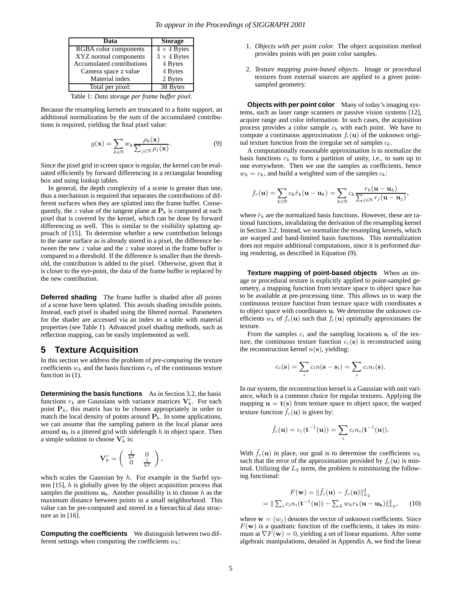| Data                      | <b>Storage</b>     |
|---------------------------|--------------------|
| RGBA color components     | $4 \times 4$ Bytes |
| XYZ normal components     | $3 \times 4$ Bytes |
| Accumulated contributions | 4 Bytes            |
| Camera space z value      | 4 Bytes            |
| Material index            | 2 Bytes            |
| Total per pixel:          | 38 Bytes           |

Table 1: *Data storage per frame buffer pixel.*

Because the resampling kernels are truncated to a finite support, an additional normalization by the sum of the accumulated contributions is required, yielding the final pixel value:

$$
g(\mathbf{x}) = \sum_{k \in \mathbb{N}} w_k \frac{\rho_k(\mathbf{x})}{\sum_{j \in \mathbb{N}} \rho_j(\mathbf{x})}.
$$
 (9)

Since the pixel grid in screen space is regular, the kernel can be evaluated efficiently by forward differencing in a rectangular bounding box and using lookup tables.

In general, the depth complexity of a scene is greater than one, thus a mechanism is required that separates the contributions of different surfaces when they are splatted into the frame buffer. Consequently, the z value of the tangent plane at  $P_k$  is computed at each pixel that is covered by the kernel, which can be done by forward differencing as well. This is similar to the visibility splatting approach of [15]. To determine whether a new contribution belongs to the same surface as is already stored in a pixel, the difference between the new z value and the z value stored in the frame buffer is compared to a threshold. If the difference is smaller than the threshold, the contribution is added to the pixel. Otherwise, given that it is closer to the eye-point, the data of the frame buffer is replaced by the new contribution.

**Deferred shading** The frame buffer is shaded after all points of a scene have been splatted. This avoids shading invisible points. Instead, each pixel is shaded using the filtered normal. Parameters for the shader are accessed via an index to a table with material properties (see Table 1). Advanced pixel shading methods, such as reflection mapping, can be easily implemented as well.

#### **5 Texture Acquisition**

In this section we address the problem of *pre-computing* the texture coefficients  $w_k$  and the basis functions  $r_k$  of the continuous texture function in  $(1)$ .

**Determining the basis functions** As in Section 3.2, the basis functions  $r_k$  are Gaussians with variance matrices  $V_k^r$ . For each point  $P_k$ , this matrix has to be chosen appropriately in order to point  $P_k$ , this matrix has to be chosen appropriately in order to match the local density of points around  $P_k$ . In some applications, we can assume that the sampling pattern in the local planar area around  $\mathbf{u}_k$  is a jittered grid with sidelength  $h$  in object space. Then a simple solution to choose  $V_k^r$  is:

$$
\mathbf{V}_k^r = \left( \begin{array}{cc} \frac{1}{h^2} & 0 \\ 0 & \frac{1}{h^2} \end{array} \right),
$$

which scales the Gaussian by  $h$ . For example in the Surfel system  $[15]$ ,  $h$  is globally given by the object acquisition process that samples the positions  $\mathbf{u}_k$ . Another possibility is to choose h as the maximum distance between points in a small neighborhood. This value can be pre-computed and stored in a hierarchical data structure as in [16].

**Computing the coefficients** We distinguish between two different settings when computing the coefficients  $w_k$ :

- 1. *Objects with per point color.* The object acquisition method provides points with per point color samples.
- 2. *Texture mapping point-based objects.* Image or procedural textures from external sources are applied to a given pointsampled geometry.

**Objects with per point color** Many of today's imaging systems, such as laser range scanners or passive vision systems [12], acquire range and color information. In such cases, the acquisition process provides a color sample  $c_k$  with each point. We have to compute a continuous approximation  $f_c(\mathbf{u})$  of the unknown original texture function from the irregular set of samples  $c_k$ .

A computationally reasonable approximation is to normalize the basis functions  $r_k$  to form a partition of unity, i.e., to sum up to one everywhere. Then we use the samples as coefficients, hence  $w_k = c_k$ , and build a weighted sum of the samples  $c_k$ :

$$
f_c(\mathbf{u}) = \sum_{k \in \mathbb{N}} c_k \hat{r}_k(\mathbf{u} - \mathbf{u}_k) = \sum_{k \in \mathbb{N}} c_k \frac{r_k(\mathbf{u} - \mathbf{u}_k)}{\sum_{j \in \mathbb{N}} r_j(\mathbf{u} - \mathbf{u}_j)},
$$

where  $\hat{r}_k$  are the normalized basis functions. However, these are rational functions, invalidating the derivation of the resampling kernel in Section 3.2. Instead, we normalize the resampling kernels, which are warped and band-limited basis functions. This normalization does not require additional computations, since it is performed during rendering, as described in Equation (9).

**Texture mapping of point-based objects** When an image or procedural texture is explicitly applied to point-sampled geometry, a mapping function from texture space to object space has to be available at pre-processing time. This allows us to warp the continuous texture function from texture space with coordinates **s** to object space with coordinates **u**. We determine the unknown coefficients  $w_k$  of  $f_c(\mathbf{u})$  such that  $f_c(\mathbf{u})$  optimally approximates the texture.

From the samples  $c_i$  and the sampling locations  $s_i$  of the texture, the continuous texture function  $c_c(s)$  is reconstructed using the reconstruction kernel  $n(s)$ , yielding:

$$
c_c(\mathbf{s}) = \sum_i c_i n(\mathbf{s} - \mathbf{s}_i) = \sum_i c_i n_i(\mathbf{s}).
$$

In our system, the reconstruction kernel is a Gaussian with unit variance, which is a common choice for regular textures. Applying the mapping  $\mathbf{u} = \mathbf{t}(\mathbf{s})$  from texture space to object space, the warped texture function  $f_c(\mathbf{u})$  is given by:

$$
\tilde{f}_c(\mathbf{u})=c_c(\mathbf{t}^{-1}(\mathbf{u}))=\sum_ic_in_i(\mathbf{t}^{-1}(\mathbf{u})).
$$

With  $\tilde{f}_c(\mathbf{u})$  in place, our goal is to determine the coefficients  $w_k$ such that the error of the approximation provided by  $f_c(\mathbf{u})$  is minimal. Utilizing the  $L_2$  norm, the problem is minimizing the following functional:

$$
F(\mathbf{w}) = \|\tilde{f}_c(\mathbf{u}) - f_c(\mathbf{u})\|_{L_2}^2
$$
  
= 
$$
\|\sum_i c_i n_i(\mathbf{t}^{-1}(\mathbf{u})) - \sum_k w_k r_k(\mathbf{u} - \mathbf{u_k})\|_{L_2}^2,
$$
 (10)

where  $\mathbf{w} = (w_i)$  denotes the vector of unknown coefficients. Since  $F(\mathbf{w})$  is a quadratic function of the coefficients, it takes its minimum at  $\nabla F(\mathbf{w})=0$ , yielding a set of linear equations. After some algebraic manipulations, detailed in Appendix A, we find the linear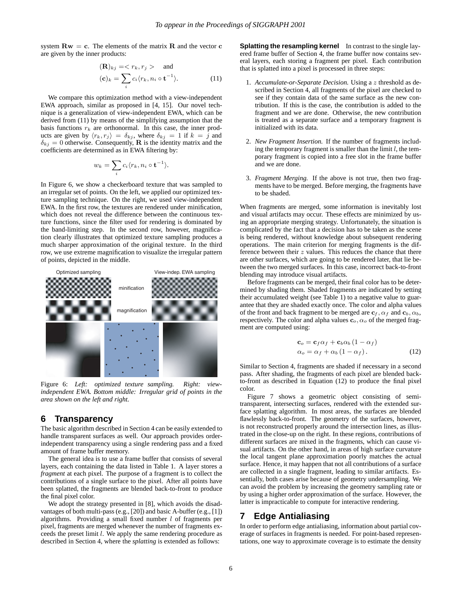system  $\mathbf{R}\mathbf{w} = \mathbf{c}$ . The elements of the matrix  $\mathbf{R}$  and the vector  $\mathbf{c}$ are given by the inner products:

$$
(\mathbf{R})_{kj} = \langle r_k, r_j \rangle \quad \text{and} \quad (\mathbf{c})_k = \sum_i c_i \langle r_k, n_i \circ \mathbf{t}^{-1} \rangle. \tag{11}
$$

We compare this optimization method with a view-independent EWA approach, similar as proposed in [4, 15]. Our novel technique is a generalization of view-independent EWA, which can be derived from (11) by means of the simplifying assumption that the basis functions  $r_k$  are orthonormal. In this case, the inner products are given by  $\langle r_k, r_j \rangle = \delta_{kj}$ , where  $\delta_{kj} = 1$  if  $k = j$  and  $\delta_{ki} = 0$  otherwise. Consequently, **R** is the identity matrix and the coefficients are determined as in EWA filtering by:

$$
w_k = \sum_i c_i \langle r_k, n_i \circ \mathbf{t}^{-1} \rangle.
$$

In Figure 6, we show a checkerboard texture that was sampled to an irregular set of points. On the left, we applied our optimized texture sampling technique. On the right, we used view-independent EWA. In the first row, the textures are rendered under minification, which does not reveal the difference between the continuous texture functions, since the filter used for rendering is dominated by the band-limiting step. In the second row, however, magnification clearly illustrates that optimized texture sampling produces a much sharper approximation of the original texture. In the third row, we use extreme magnification to visualize the irregular pattern of points, depicted in the middle.



Figure 6: *Left: optimized texture sampling. Right: viewindependent EWA. Bottom middle: Irregular grid of points in the area shown on the left and right.*

## **6 Transparency**

The basic algorithm described in Section 4 can be easily extended to handle transparent surfaces as well. Our approach provides orderindependent transparency using a single rendering pass and a fixed amount of frame buffer memory.

The general idea is to use a frame buffer that consists of several layers, each containing the data listed in Table 1. A layer stores a *fragment* at each pixel. The purpose of a fragment is to collect the contributions of a single surface to the pixel. After all points have been splatted, the fragments are blended back-to-front to produce the final pixel color.

We adopt the strategy presented in [8], which avoids the disadvantages of both multi-pass (e.g., [20]) and basic A-buffer (e.g., [1]) algorithms. Providing a small fixed number  $l$  of fragments per pixel, fragments are merged whenever the number of fragments exceeds the preset limit l. We apply the same rendering procedure as described in Section 4, where the *splatting* is extended as follows:

**Splatting the resampling kernel** In contrast to the single layered frame buffer of Section 4, the frame buffer now contains several layers, each storing a fragment per pixel. Each contribution that is splatted into a pixel is processed in three steps:

- 1. *Accumulate-or-Separate Decision.* Using a z threshold as described in Section 4, all fragments of the pixel are checked to see if they contain data of the same surface as the new contribution. If this is the case, the contribution is added to the fragment and we are done. Otherwise, the new contribution is treated as a separate surface and a temporary fragment is initialized with its data.
- 2. *New Fragment Insertion.* If the number of fragments including the temporary fragment is smaller than the limit  $l$ , the temporary fragment is copied into a free slot in the frame buffer and we are done.
- 3. *Fragment Merging.* If the above is not true, then two fragments have to be merged. Before merging, the fragments have to be shaded.

When fragments are merged, some information is inevitably lost and visual artifacts may occur. These effects are minimized by using an appropriate merging strategy. Unfortunately, the situation is complicated by the fact that a decision has to be taken as the scene is being rendered, without knowledge about subsequent rendering operations. The main criterion for merging fragments is the difference between their  $z$  values. This reduces the chance that there are other surfaces, which are going to be rendered later, that lie between the two merged surfaces. In this case, incorrect back-to-front blending may introduce visual artifacts.

Before fragments can be merged, their final color has to be determined by shading them. Shaded fragments are indicated by setting their accumulated weight (see Table 1) to a negative value to guarantee that they are shaded exactly once. The color and alpha values of the front and back fragment to be merged are  $c_f$ ,  $\alpha_f$  and  $c_b$ ,  $\alpha_b$ , respectively. The color and alpha values  $\mathbf{c}_o$ ,  $\alpha_o$  of the merged fragment are computed using:

$$
\mathbf{c}_{o} = \mathbf{c}_{f} \alpha_{f} + \mathbf{c}_{b} \alpha_{b} (1 - \alpha_{f})
$$
  
\n
$$
\alpha_{o} = \alpha_{f} + \alpha_{b} (1 - \alpha_{f}).
$$
\n(12)

Similar to Section 4, fragments are shaded if necessary in a second pass. After shading, the fragments of each pixel are blended backto-front as described in Equation (12) to produce the final pixel color.

Figure 7 shows a geometric object consisting of semitransparent, intersecting surfaces, rendered with the extended surface splatting algorithm. In most areas, the surfaces are blended flawlessly back-to-front. The geometry of the surfaces, however, is not reconstructed properly around the intersection lines, as illustrated in the close-up on the right. In these regions, contributions of different surfaces are mixed in the fragments, which can cause visual artifacts. On the other hand, in areas of high surface curvature the local tangent plane approximation poorly matches the actual surface. Hence, it may happen that not all contributions of a surface are collected in a single fragment, leading to similar artifacts. Essentially, both cases arise because of geometry undersampling. We can avoid the problem by increasing the geometry sampling rate or by using a higher order approximation of the surface. However, the latter is impracticable to compute for interactive rendering.

# **7 Edge Antialiasing**

In order to perform edge antialiasing, information about partial coverage of surfaces in fragments is needed. For point-based representations, one way to approximate coverage is to estimate the density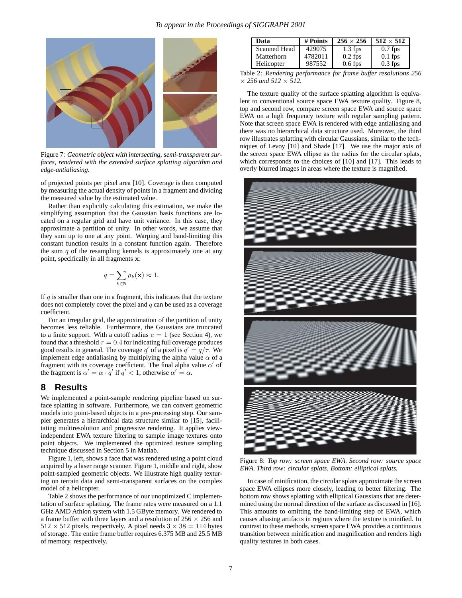

Figure 7: *Geometric object with intersecting, semi-transparent surfaces, rendered with the extended surface splatting algorithm and edge-antialiasing.*

of projected points per pixel area [10]. Coverage is then computed by measuring the actual density of points in a fragment and dividing the measured value by the estimated value.

Rather than explicitly calculating this estimation, we make the simplifying assumption that the Gaussian basis functions are located on a regular grid and have unit variance. In this case, they approximate a partition of unity. In other words, we assume that they sum up to one at any point. Warping and band-limiting this constant function results in a constant function again. Therefore the sum  $q$  of the resampling kernels is approximately one at any point, specifically in all fragments **x**:

$$
q = \sum_{k \in \mathbb{N}} \rho_k(\mathbf{x}) \approx 1.
$$

If  $q$  is smaller than one in a fragment, this indicates that the texture does not completely cover the pixel and  $q$  can be used as a coverage coefficient.

For an irregular grid, the approximation of the partition of unity becomes less reliable. Furthermore, the Gaussians are truncated to a finite support. With a cutoff radius  $c = 1$  (see Section 4), we found that a threshold  $\tau = 0.4$  for indicating full coverage produces good results in general. The coverage q' of a pixel is  $q' = q/\tau$ . We implement edge antialiasing by multiplying the alpha value  $\alpha$  of a fragment with its coverage coefficient. The final alpha value  $\alpha'$  of the fragment is  $\alpha' = \alpha \cdot q'$  if  $q' < 1$ , otherwise  $\alpha' = \alpha$ .

## **8 Results**

We implemented a point-sample rendering pipeline based on surface splatting in software. Furthermore, we can convert geometric models into point-based objects in a pre-processing step. Our sampler generates a hierarchical data structure similar to [15], facilitating multiresolution and progressive rendering. It applies viewindependent EWA texture filtering to sample image textures onto point objects. We implemented the optimized texture sampling technique discussed in Section 5 in Matlab.

Figure 1, left, shows a face that was rendered using a point cloud acquired by a laser range scanner. Figure 1, middle and right, show point-sampled geometric objects. We illustrate high quality texturing on terrain data and semi-transparent surfaces on the complex model of a helicopter.

Table 2 shows the performance of our unoptimized C implementation of surface splatting. The frame rates were measured on a 1.1 GHz AMD Athlon system with 1.5 GByte memory. We rendered to a frame buffer with three layers and a resolution of  $256 \times 256$  and  $512 \times 512$  pixels, respectively. A pixel needs  $3 \times 38 = 114$  bytes of storage. The entire frame buffer requires 6.375 MB and 25.5 MB of memory, respectively.

| Data         | # Points | $256 \times 256$ | $512 \times 512$ |
|--------------|----------|------------------|------------------|
| Scanned Head | 429075   | $1.3$ fps        | $0.7$ fps        |
| Matterhorn   | 4782011  | $0.2$ fps        | $0.1$ fps        |
| Helicopter   | 987552   | $0.6$ fps        | $0.3$ fps        |

Table 2: *Rendering performance for frame buffer resolutions 256*  $\times$  256 and 512  $\times$  512.

The texture quality of the surface splatting algorithm is equivalent to conventional source space EWA texture quality. Figure 8, top and second row, compare screen space EWA and source space EWA on a high frequency texture with regular sampling pattern. Note that screen space EWA is rendered with edge antialiasing and there was no hierarchical data structure used. Moreover, the third row illustrates splatting with circular Gaussians, similar to the techniques of Levoy [10] and Shade [17]. We use the major axis of the screen space EWA ellipse as the radius for the circular splats, which corresponds to the choices of [10] and [17]. This leads to overly blurred images in areas where the texture is magnified.



Figure 8: *Top row: screen space EWA. Second row: source space EWA. Third row: circular splats. Bottom: elliptical splats.*

In case of minification, the circular splats approximate the screen space EWA ellipses more closely, leading to better filtering. The bottom row shows splatting with elliptical Gaussians that are determined using the normal direction of the surface as discussed in [16]. This amounts to omitting the band-limiting step of EWA, which causes aliasing artifacts in regions where the texture is minified. In contrast to these methods, screen space EWA provides a continuous transition between minification and magnification and renders high quality textures in both cases.